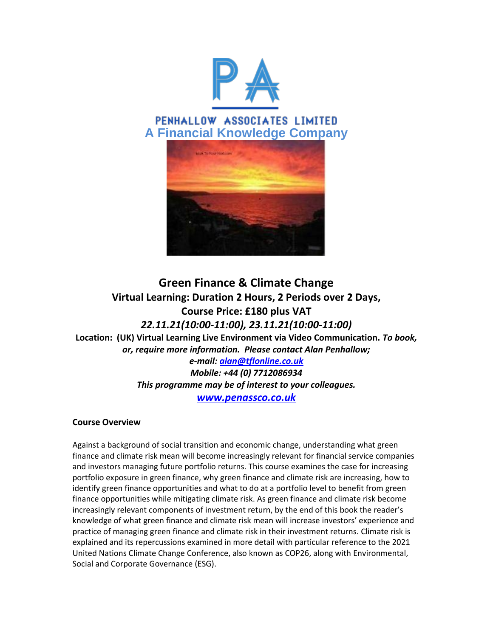

# PENHALLOW ASSOCIATES LIMITED **A Financial Knowledge Company**



# **Green Finance & Climate Change Virtual Learning: Duration 2 Hours, 2 Periods over 2 Days, Course Price: £180 plus VAT** *22.11.21(10:00-11:00), 23.11.21(10:00-11:00)* **Location: (UK) Virtual Learning Live Environment via Video Communication.** *To book, or, require more information. Please contact Alan Penhallow; e-mail[: alan@tflonline.co.uk](mailto:alan@tflonline.co.uk) Mobile: +44 (0) 7712086934 This programme may be of interest to your colleagues.*

*[www.penassco.co.uk](http://www.penassco.co.uk/)*

## **Course Overview**

Against a background of social transition and economic change, understanding what green finance and climate risk mean will become increasingly relevant for financial service companies and investors managing future portfolio returns. This course examines the case for increasing portfolio exposure in green finance, why green finance and climate risk are increasing, how to identify green finance opportunities and what to do at a portfolio level to benefit from green finance opportunities while mitigating climate risk. As green finance and climate risk become increasingly relevant components of investment return, by the end of this book the reader's knowledge of what green finance and climate risk mean will increase investors' experience and practice of managing green finance and climate risk in their investment returns. Climate risk is explained and its repercussions examined in more detail with particular reference to the 2021 United Nations Climate Change Conference, also known as COP26, along with Environmental, Social and Corporate Governance (ESG).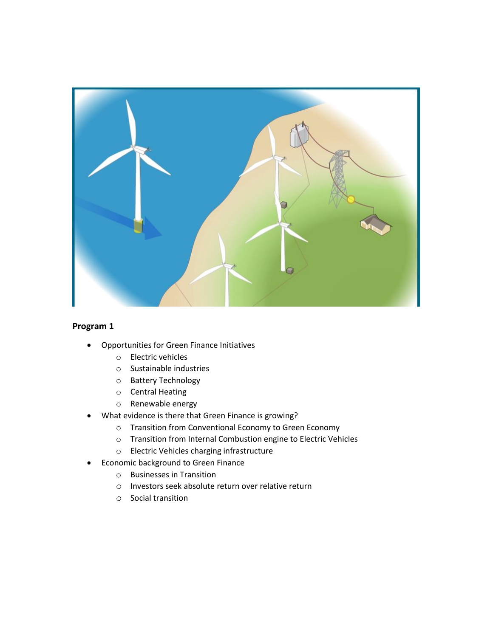

### **Program 1**

- Opportunities for Green Finance Initiatives
	- o Electric vehicles
	- o Sustainable industries
	- o Battery Technology
	- o Central Heating
	- o Renewable energy
- What evidence is there that Green Finance is growing?
	- o Transition from Conventional Economy to Green Economy
	- o Transition from Internal Combustion engine to Electric Vehicles
	- o Electric Vehicles charging infrastructure
- Economic background to Green Finance
	- o Businesses in Transition
	- o Investors seek absolute return over relative return
	- o Social transition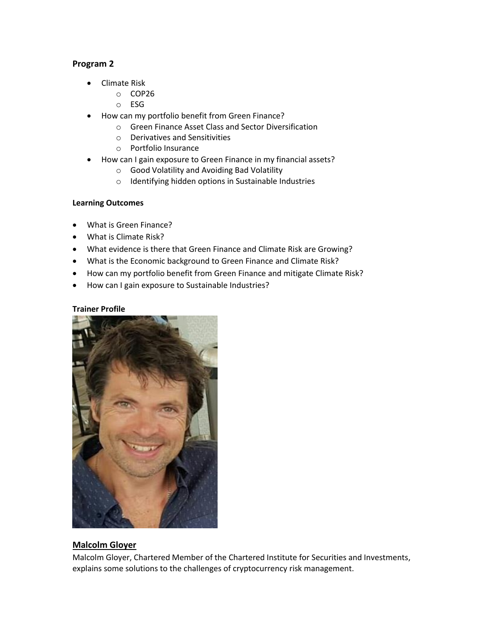#### **Program 2**

- Climate Risk
	- o COP26
	- o ESG
- How can my portfolio benefit from Green Finance?
	- o Green Finance Asset Class and Sector Diversification
	- o Derivatives and Sensitivities
	- o Portfolio Insurance
- How can I gain exposure to Green Finance in my financial assets?
	- o Good Volatility and Avoiding Bad Volatility
	- o Identifying hidden options in Sustainable Industries

#### **Learning Outcomes**

- What is Green Finance?
- What is Climate Risk?
- What evidence is there that Green Finance and Climate Risk are Growing?
- What is the Economic background to Green Finance and Climate Risk?
- How can my portfolio benefit from Green Finance and mitigate Climate Risk?
- How can I gain exposure to Sustainable Industries?

#### **Trainer Profile**



#### **Malcolm Gloyer**

Malcolm Gloyer, Chartered Member of the Chartered Institute for Securities and Investments, explains some solutions to the challenges of cryptocurrency risk management.